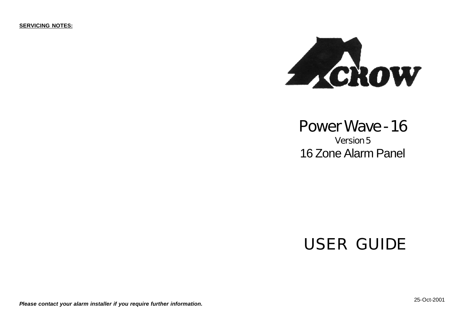**SERVICING NOTES:**



## **Power Wave - 16**

**Version 5** 16 Zone Alarm Panel

# **USER GUIDE**

*Please contact your alarm installer if you require further information.*

25-Oct-2001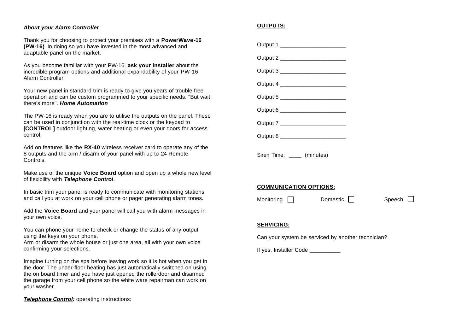#### *About your Alarm Controller*

Thank you for choosing to protect your premises with a **PowerWave-16 (PW-16)**. In doing so you have invested in the most advanced and adaptable panel on the market.

As you become familiar with your PW-16, **ask your installer** about the incredible program options and additional expandability of your PW-16 Alarm Controller.

Your new panel in standard trim is ready to give you years of trouble free operation and can be custom programmed to your specific needs. "But wait there's more". *Home Automation*

The PW-16 is ready when you are to utilise the outputs on the panel. These can be used in conjunction with the real-time clock or the keypad to **[CONTROL]** outdoor lighting, water heating or even your doors for access control.

Add on features like the **RX-40** wireless receiver card to operate any of the 8 outputs and the arm / disarm of your panel with up to 24 Remote Controls.

Make use of the unique **Voice Board** option and open up a whole new level of flexibility with *Telephone Control*.

In basic trim your panel is ready to communicate with monitoring stations and call you at work on your cell phone or pager generating alarm tones.

Add the **Voice Board** and your panel will call you with alarm messages in your own voice.

You can phone your home to check or change the status of any output using the keys on your phone.

Arm or disarm the whole house or just one area, all with your own voice confirming your selections.

Imagine turning on the spa before leaving work so it is hot when you get in the door. The under-floor heating has just automatically switched on using the on board timer and you have just opened the rollerdoor and disarmed the garage from your cell phone so the white ware repairman can work on your washer.

**Telephone Control:** operating instructions:

#### **OUTPUTS:**

| Output 1 _______________________     |  |  |
|--------------------------------------|--|--|
| Output 2 _________________________   |  |  |
| Output 3 __________________________  |  |  |
| Output 4 ________________________    |  |  |
| Output 5 ___________________________ |  |  |
| Output 6 __________________________  |  |  |
| Output 7 __________________________  |  |  |
| Output 8 _________________________   |  |  |
| Siren Time: _____ (minutes)          |  |  |

## **COMMUNICATION OPTIONS:**

Monitoring  $\Box$  Domestic  $\Box$  Speech  $\Box$ 

#### **SERVICING:**

Can your system be serviced by another technician?

If yes, Installer Code \_\_\_\_\_\_\_\_\_\_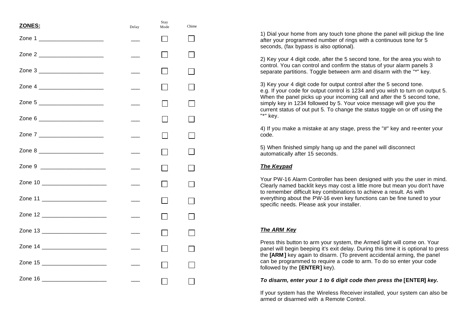| ZONES:                            | Delay                    | Stay<br>Mode   | Chime |
|-----------------------------------|--------------------------|----------------|-------|
| Zone 1 _________________________  |                          | $\blacksquare$ |       |
| Zone 2 _________________________  |                          |                |       |
| Zone 3 _________________________  | $\overline{\phantom{a}}$ |                |       |
|                                   | $\overline{\phantom{a}}$ |                |       |
| Zone 5 ________________________   |                          |                |       |
| Zone 6 _________________________  |                          |                |       |
| Zone 7 ________________________   |                          |                |       |
| Zone 8 __________________________ | $\overline{\phantom{a}}$ |                |       |
| Zone 9 _________________________  |                          |                |       |
| Zone 10 ________________________  |                          | $\blacksquare$ |       |
| Zone 11 _______________________   |                          | $\sim 10$      |       |
| Zone 12 _________________________ |                          |                |       |
| Zone 13 _________________________ |                          |                |       |
| Zone 14 _________________________ |                          |                |       |
| Zone 15 _______________________   |                          |                |       |
| Zone 16 _________________________ |                          |                |       |

1) Dial your home from any touch tone phone the panel will pickup the line after your programmed number of rings with a continuous tone for 5 seconds, (fax bypass is also optional).

2) Key your 4 digit code, after the 5 second tone, for the area you wish to control. You can control and confirm the status of your alarm panels 3 separate partitions. Toggle between arm and disarm with the "\*" key.

3) Key your 4 digit code for output control after the 5 second tone. e.g. If your code for output control is 1234 and you wish to turn on output 5. When the panel picks up your incoming call and after the 5 second tone, simply key in 1234 followed by 5. Your voice message will give you the current status of out put 5. To change the status toggle on or off using the "\*" key.

4) If you make a mistake at any stage, press the "#" key and re-enter your code.

5) When finished simply hang up and the panel will disconnect automatically after 15 seconds.

### *The Keypad*

Your PW-16 Alarm Controller has been designed with you the user in mind. Clearly named backlit keys may cost a little more but mean you don't have to remember difficult key combinations to achieve a result. As with everything about the PW-16 even key functions can be fine tuned to your specific needs. Please ask your installer.

## *The ARM Key*

Press this button to arm your system, the Armed light will come on. Your panel will begin beeping it's exit delay. During this time it is optional to press the **[ARM]** key again to disarm. (To prevent accidental arming, the panel can be programmed to require a code to arm. To do so enter your code followed by the **[ENTER]** key).

#### *To disarm, enter your 1 to 6 digit code then press the* **[ENTER]** *key.*

If your system has the Wireless Receiver installed, your system can also be armed or disarmed with a Remote Control.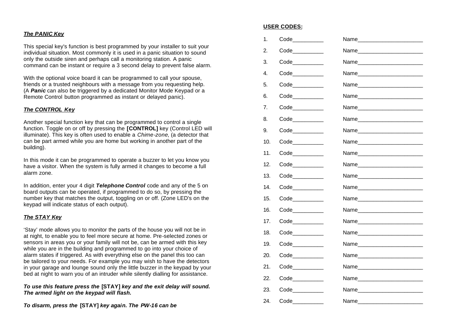#### *The PANIC Key*

This special key's function is best programmed by your installer to suit your individual situation. Most commonly it is used in a panic situation to sound only the outside siren and perhaps call a monitoring station. A panic command can be instant or require a 3 second delay to prevent false alarm.

With the optional voice board it can be programmed to call your spouse, friends or a trusted neighbours with a message from you requesting help. (A *Panic* can also be triggered by a dedicated Monitor Mode Keypad or a Remote Control button programmed as instant or delayed panic).

#### *The CONTROL Key*

Another special function key that can be programmed to control a single function. Toggle on or off by pressing the **[CONTROL]** key (Control LED will illuminate). This key is often used to enable a *Chime-zone*, (a detector that can be part armed while you are home but working in another part of the building).

In this mode it can be programmed to operate a buzzer to let you know you have a visitor. When the system is fully armed it changes to become a full alarm zone.

In addition, enter your 4 digit *Telephone Control* code and any of the 5 on board outputs can be operated, if programmed to do so, by pressing the number key that matches the output, toggling on or off. (Zone LED's on the keypad will indicate status of each output).

#### *The STAY Key*

'Stay' mode allows you to monitor the parts of the house you will not be in at night, to enable you to feel more secure at home. Pre-selected zones or sensors in areas you or your family will not be, can be armed with this key while you are in the building and programmed to go into your choice of alarm states if triggered. As with everything else on the panel this too can be tailored to your needs. For example you may wish to have the detectors in your garage and lounge sound only the little buzzer in the keypad by your bed at night to warn you of an intruder while silently dialling for assistance.

*To use this feature press the* **[STAY]** *key and the exit delay will sound. The armed light on the keypad will flash.* 

*To disarm, press the* **[STAY]** *key again. The PW-16 can be* 

#### **USER CODES:**

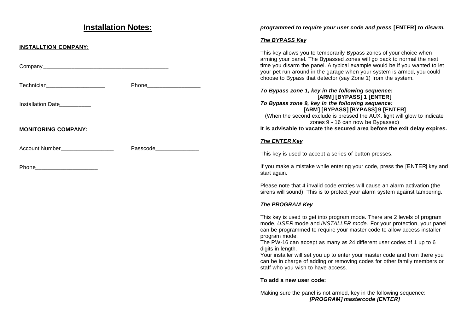## **Installation Notes:**

#### **INSTALLTION COMPANY:**

**Company** *Dependent in the company* **<b>***Company Company* 

Technician**\_\_\_\_\_\_\_\_\_\_\_\_\_\_\_\_\_\_\_** Phone**\_\_\_\_\_\_\_\_\_\_\_\_\_\_\_\_\_**

Installation Date**\_\_\_\_\_\_\_\_\_\_**

## **MONITORING COMPANY:**

Account Number**\_\_\_\_\_\_\_\_\_\_\_\_\_\_\_\_\_** Passcode**\_\_\_\_\_\_\_\_\_\_\_\_\_\_**

Phone **and a set of the set of the set of the set of the set of the set of the set of the set of the set of the set of the set of the set of the set of the set of the set of the set of the set of the set of the set of the** 

## *programmed to require your user code and press* **[ENTER]** *to disarm.*

#### *The BYPASS Key*

This key allows you to temporarily Bypass zones of your choice when arming your panel. The Bypassed zones will go back to normal the next time you disarm the panel. A typical example would be if you wanted to let your pet run around in the garage when your system is armed, you could choose to Bypass that detector (say Zone 1) from the system.

*To Bypass zone 1, key in the following sequence:* **[ARM] [BYPASS] 1 [ENTER]** *To Bypass zone 9, key in the following sequence:* **[ARM] [BYPASS] [BYPASS] 9 [ENTER]** (When the second exclude is pressed the AUX. light will glow to indicate zones 9 - 16 can now be Bypassed) **It is advisable to vacate the secured area before the exit delay expires.**

#### *The ENTER Key*

This key is used to accept a series of button presses.

If you make a mistake while entering your code, press the [ENTER] key and start again.

Please note that 4 invalid code entries will cause an alarm activation (the sirens will sound). This is to protect your alarm system against tampering.

#### *The PROGRAM Key*

This key is used to get into program mode. There are 2 levels of program mode, *USER* mode and *INSTALLER mode.* For your protection, your panel can be programmed to require your master code to allow access installer program mode.

The PW-16 can accept as many as 24 different user codes of 1 up to 6 digits in length.

Your installer will set you up to enter your master code and from there you can be in charge of adding or removing codes for other family members or staff who you wish to have access.

#### **To add a new user code:**

Making sure the panel is not armed, key in the following sequence: *[PROGRAM] mastercode [ENTER]*